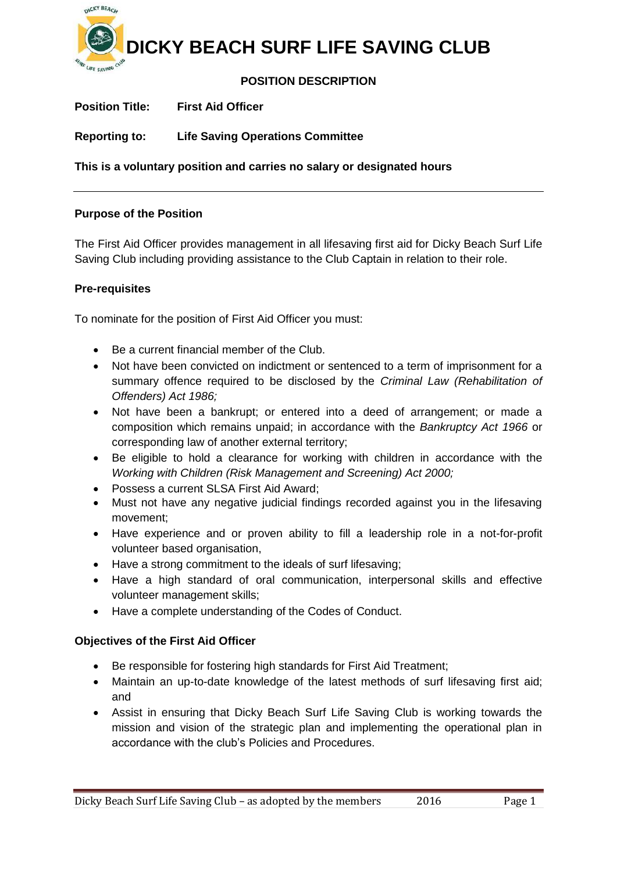

# **POSITION DESCRIPTION**

**Position Title: First Aid Officer**

**Reporting to: Life Saving Operations Committee**

**This is a voluntary position and carries no salary or designated hours**

## **Purpose of the Position**

The First Aid Officer provides management in all lifesaving first aid for Dicky Beach Surf Life Saving Club including providing assistance to the Club Captain in relation to their role.

## **Pre-requisites**

To nominate for the position of First Aid Officer you must:

- Be a current financial member of the Club.
- Not have been convicted on indictment or sentenced to a term of imprisonment for a summary offence required to be disclosed by the *Criminal Law (Rehabilitation of Offenders) Act 1986;*
- Not have been a bankrupt; or entered into a deed of arrangement; or made a composition which remains unpaid; in accordance with the *Bankruptcy Act 1966* or corresponding law of another external territory;
- Be eligible to hold a clearance for working with children in accordance with the *Working with Children (Risk Management and Screening) Act 2000;*
- Possess a current SLSA First Aid Award;
- Must not have any negative judicial findings recorded against you in the lifesaving movement;
- Have experience and or proven ability to fill a leadership role in a not-for-profit volunteer based organisation,
- Have a strong commitment to the ideals of surf lifesaving;
- Have a high standard of oral communication, interpersonal skills and effective volunteer management skills;
- Have a complete understanding of the Codes of Conduct.

## **Objectives of the First Aid Officer**

- Be responsible for fostering high standards for First Aid Treatment;
- Maintain an up-to-date knowledge of the latest methods of surf lifesaving first aid; and
- Assist in ensuring that Dicky Beach Surf Life Saving Club is working towards the mission and vision of the strategic plan and implementing the operational plan in accordance with the club's Policies and Procedures.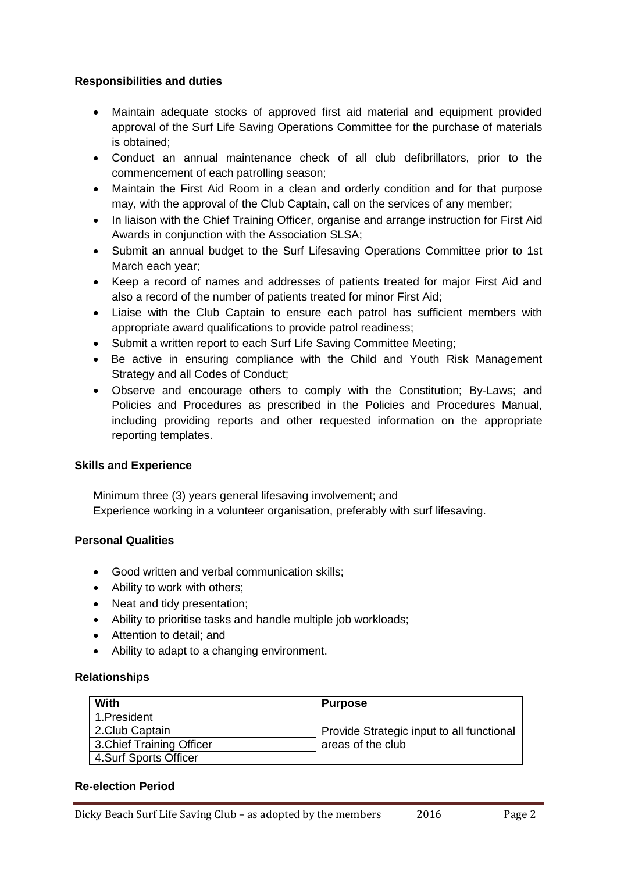# **Responsibilities and duties**

- Maintain adequate stocks of approved first aid material and equipment provided approval of the Surf Life Saving Operations Committee for the purchase of materials is obtained;
- Conduct an annual maintenance check of all club defibrillators, prior to the commencement of each patrolling season;
- Maintain the First Aid Room in a clean and orderly condition and for that purpose may, with the approval of the Club Captain, call on the services of any member;
- In liaison with the Chief Training Officer, organise and arrange instruction for First Aid Awards in conjunction with the Association SLSA;
- Submit an annual budget to the Surf Lifesaving Operations Committee prior to 1st March each year;
- Keep a record of names and addresses of patients treated for major First Aid and also a record of the number of patients treated for minor First Aid;
- Liaise with the Club Captain to ensure each patrol has sufficient members with appropriate award qualifications to provide patrol readiness;
- Submit a written report to each Surf Life Saving Committee Meeting;
- Be active in ensuring compliance with the Child and Youth Risk Management Strategy and all Codes of Conduct;
- Observe and encourage others to comply with the Constitution; By-Laws; and Policies and Procedures as prescribed in the Policies and Procedures Manual, including providing reports and other requested information on the appropriate reporting templates.

## **Skills and Experience**

Minimum three (3) years general lifesaving involvement; and Experience working in a volunteer organisation, preferably with surf lifesaving.

# **Personal Qualities**

- Good written and verbal communication skills;
- Ability to work with others;
- Neat and tidy presentation;
- Ability to prioritise tasks and handle multiple job workloads;
- Attention to detail; and
- Ability to adapt to a changing environment.

## **Relationships**

| With                      | <b>Purpose</b>                            |
|---------------------------|-------------------------------------------|
| 1.President               |                                           |
| 2.Club Captain            | Provide Strategic input to all functional |
| 3. Chief Training Officer | areas of the club                         |
| 4.Surf Sports Officer     |                                           |

#### **Re-election Period**